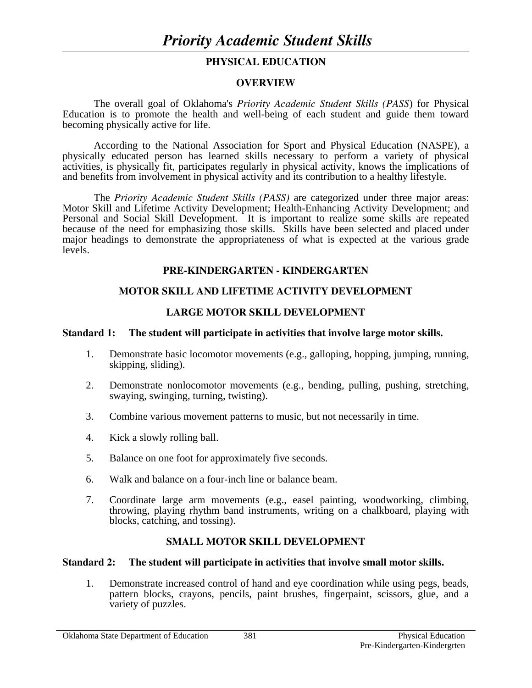## **PHYSICAL EDUCATION**

#### **OVERVIEW**

The overall goal of Oklahoma's *Priority Academic Student Skills (PASS*) for Physical Education is to promote the health and well-being of each student and guide them toward becoming physically active for life.

 According to the National Association for Sport and Physical Education (NASPE), a physically educated person has learned skills necessary to perform a variety of physical activities, is physically fit, participates regularly in physical activity, knows the implications of and benefits from involvement in physical activity and its contribution to a healthy lifestyle.

 The *Priority Academic Student Skills (PASS)* are categorized under three major areas: Motor Skill and Lifetime Activity Development; Health-Enhancing Activity Development; and Personal and Social Skill Development. It is important to realize some skills are repeated because of the need for emphasizing those skills. Skills have been selected and placed under major headings to demonstrate the appropriateness of what is expected at the various grade levels.

### **PRE-KINDERGARTEN - KINDERGARTEN**

## **MOTOR SKILL AND LIFETIME ACTIVITY DEVELOPMENT**

### **LARGE MOTOR SKILL DEVELOPMENT**

#### **Standard 1: The student will participate in activities that involve large motor skills.**

- 1. Demonstrate basic locomotor movements (e.g., galloping, hopping, jumping, running, skipping, sliding).
- 2. Demonstrate nonlocomotor movements (e.g., bending, pulling, pushing, stretching, swaying, swinging, turning, twisting).
- 3. Combine various movement patterns to music, but not necessarily in time.
- 4. Kick a slowly rolling ball.
- 5. Balance on one foot for approximately five seconds.
- 6. Walk and balance on a four-inch line or balance beam.
- 7. Coordinate large arm movements (e.g., easel painting, woodworking, climbing, throwing, playing rhythm band instruments, writing on a chalkboard, playing with blocks, catching, and tossing).

## **SMALL MOTOR SKILL DEVELOPMENT**

#### **Standard 2: The student will participate in activities that involve small motor skills.**

 1. Demonstrate increased control of hand and eye coordination while using pegs, beads, pattern blocks, crayons, pencils, paint brushes, fingerpaint, scissors, glue, and a variety of puzzles.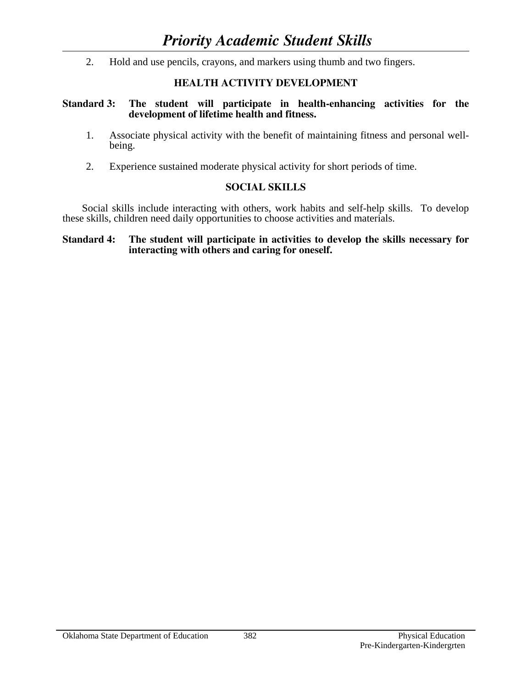2. Hold and use pencils, crayons, and markers using thumb and two fingers.

## **HEALTH ACTIVITY DEVELOPMENT**

#### **Standard 3: The student will participate in health-enhancing activities for the development of lifetime health and fitness.**

- 1. Associate physical activity with the benefit of maintaining fitness and personal wellbeing.
- 2. Experience sustained moderate physical activity for short periods of time.

## **SOCIAL SKILLS**

 Social skills include interacting with others, work habits and self-help skills. To develop these skills, children need daily opportunities to choose activities and materials.

#### **Standard 4: The student will participate in activities to develop the skills necessary for interacting with others and caring for oneself.**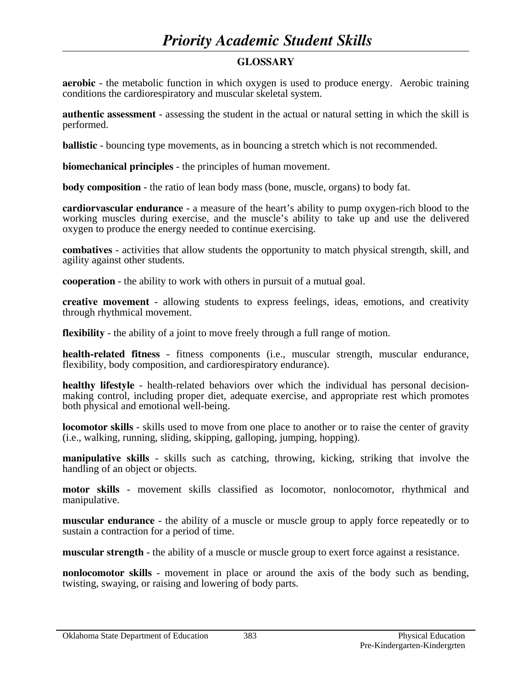# *Priority Academic Student Skills*

## **GLOSSARY**

**aerobic** - the metabolic function in which oxygen is used to produce energy. Aerobic training conditions the cardiorespiratory and muscular skeletal system.

**authentic assessment** - assessing the student in the actual or natural setting in which the skill is performed.

**ballistic** - bouncing type movements, as in bouncing a stretch which is not recommended.

**biomechanical principles** - the principles of human movement.

**body composition** - the ratio of lean body mass (bone, muscle, organs) to body fat.

**cardiorvascular endurance** - a measure of the heart's ability to pump oxygen-rich blood to the working muscles during exercise, and the muscle's ability to take up and use the delivered oxygen to produce the energy needed to continue exercising.

**combatives** - activities that allow students the opportunity to match physical strength, skill, and agility against other students.

**cooperation** - the ability to work with others in pursuit of a mutual goal.

**creative movement** - allowing students to express feelings, ideas, emotions, and creativity through rhythmical movement.

**flexibility** - the ability of a joint to move freely through a full range of motion.

**health-related fitness** - fitness components (i.e., muscular strength, muscular endurance, flexibility, body composition, and cardiorespiratory endurance).

**healthy lifestyle** - health-related behaviors over which the individual has personal decisionmaking control, including proper diet, adequate exercise, and appropriate rest which promotes both physical and emotional well-being.

**locomotor skills** - skills used to move from one place to another or to raise the center of gravity (i.e., walking, running, sliding, skipping, galloping, jumping, hopping).

**manipulative skills** - skills such as catching, throwing, kicking, striking that involve the handling of an object or objects.

**motor skills** - movement skills classified as locomotor, nonlocomotor, rhythmical and manipulative.

**muscular endurance** - the ability of a muscle or muscle group to apply force repeatedly or to sustain a contraction for a period of time.

**muscular strength** - the ability of a muscle or muscle group to exert force against a resistance.

**nonlocomotor skills** - movement in place or around the axis of the body such as bending, twisting, swaying, or raising and lowering of body parts.